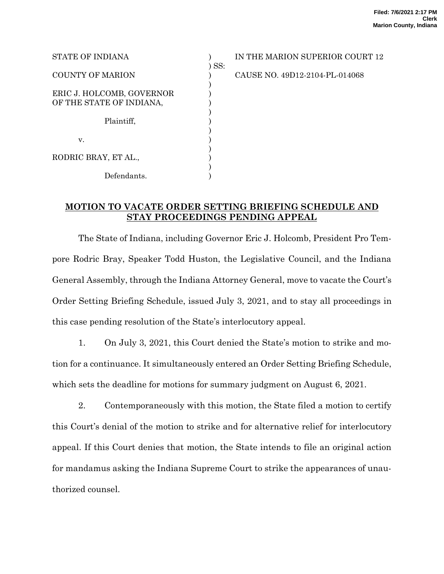| STATE OF INDIANA                                      |         |
|-------------------------------------------------------|---------|
| <b>COUNTY OF MARION</b>                               | $)$ SS: |
| ERIC J. HOLCOMB, GOVERNOR<br>OF THE STATE OF INDIANA, |         |
| Plaintiff.                                            |         |
| v.                                                    |         |
| RODRIC BRAY, ET AL.,                                  |         |
| Defendants.                                           |         |

IN THE MARION SUPERIOR COURT 12

CAUSE NO. 49D12-2104-PL-014068

## **MOTION TO VACATE ORDER SETTING BRIEFING SCHEDULE AND STAY PROCEEDINGS PENDING APPEAL**

The State of Indiana, including Governor Eric J. Holcomb, President Pro Tempore Rodric Bray, Speaker Todd Huston, the Legislative Council, and the Indiana General Assembly, through the Indiana Attorney General, move to vacate the Court's Order Setting Briefing Schedule, issued July 3, 2021, and to stay all proceedings in this case pending resolution of the State's interlocutory appeal.

1. On July 3, 2021, this Court denied the State's motion to strike and motion for a continuance. It simultaneously entered an Order Setting Briefing Schedule, which sets the deadline for motions for summary judgment on August 6, 2021.

2. Contemporaneously with this motion, the State filed a motion to certify this Court's denial of the motion to strike and for alternative relief for interlocutory appeal. If this Court denies that motion, the State intends to file an original action for mandamus asking the Indiana Supreme Court to strike the appearances of unauthorized counsel.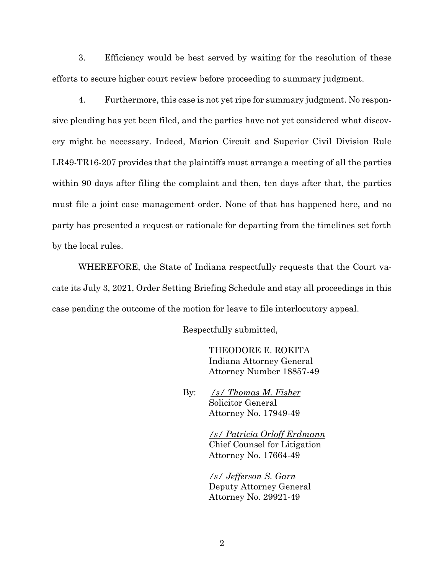3. Efficiency would be best served by waiting for the resolution of these efforts to secure higher court review before proceeding to summary judgment.

4. Furthermore, this case is not yet ripe for summary judgment. No responsive pleading has yet been filed, and the parties have not yet considered what discovery might be necessary. Indeed, Marion Circuit and Superior Civil Division Rule LR49-TR16-207 provides that the plaintiffs must arrange a meeting of all the parties within 90 days after filing the complaint and then, ten days after that, the parties must file a joint case management order. None of that has happened here, and no party has presented a request or rationale for departing from the timelines set forth by the local rules.

WHEREFORE, the State of Indiana respectfully requests that the Court vacate its July 3, 2021, Order Setting Briefing Schedule and stay all proceedings in this case pending the outcome of the motion for leave to file interlocutory appeal.

Respectfully submitted,

THEODORE E. ROKITA Indiana Attorney General Attorney Number 18857-49

By: */s/ Thomas M. Fisher* Solicitor General Attorney No. 17949-49

> */s/ Patricia Orloff Erdmann* Chief Counsel for Litigation Attorney No. 17664-49

*/s/ Jefferson S. Garn* Deputy Attorney General Attorney No. 29921-49